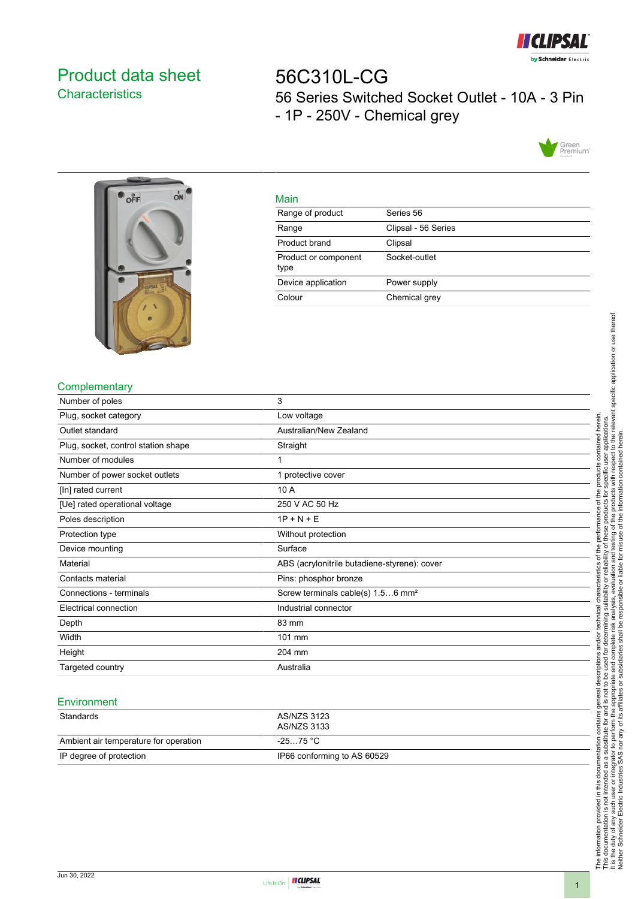

# <span id="page-0-0"></span>Product data sheet **Characteristics**

# 56C310L-CG 56 Series Switched Socket Outlet - 10A - 3 Pin - 1P - 250V - Chemical grey





|         | ۹ |
|---------|---|
| ×<br>__ |   |

| . <u>.</u> .                 |                     |
|------------------------------|---------------------|
| Range of product             | Series 56           |
| Range                        | Clipsal - 56 Series |
| Product brand                | Clipsal             |
| Product or component<br>type | Socket-outlet       |
| Device application           | Power supply        |
| Colour                       | Chemical grey       |
|                              |                     |

## **Complementary**

| Number of poles                     | 3                                             |
|-------------------------------------|-----------------------------------------------|
| Plug, socket category               | Low voltage                                   |
| Outlet standard                     | Australian/New Zealand                        |
| Plug, socket, control station shape | Straight                                      |
| Number of modules                   |                                               |
| Number of power socket outlets      | 1 protective cover                            |
| [In] rated current                  | 10 A                                          |
| [Ue] rated operational voltage      | 250 V AC 50 Hz                                |
| Poles description                   | $1P + N + E$                                  |
| Protection type                     | Without protection                            |
| Device mounting                     | Surface                                       |
| Material                            | ABS (acrylonitrile butadiene-styrene): cover  |
| Contacts material                   | Pins: phosphor bronze                         |
| Connections - terminals             | Screw terminals cable(s) 1.56 mm <sup>2</sup> |
| Electrical connection               | Industrial connector                          |
| Depth                               | 83 mm                                         |
| Width                               | 101 mm                                        |
| Height                              | 204 mm                                        |
| Targeted country                    | Australia                                     |

#### **Environment**

| Standards                             | AS/NZS 3123<br>AS/NZS 3133  |
|---------------------------------------|-----------------------------|
| Ambient air temperature for operation | -25…75 °C                   |
| IP degree of protection               | IP66 conforming to AS 60529 |